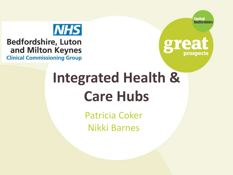



### **Bedfordshire, Luton** and Milton Keynes

**Clinical Commissioning Group** 



# **Integrated Health & Care Hubs**

Patricia Coker Nikki Barnes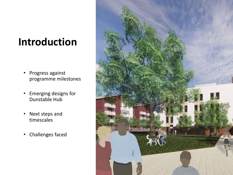## **Introduction**

- Progress against programme milestones
- Emerging designs for Dunstable Hub
- Next steps and timescales
- Challenges faced

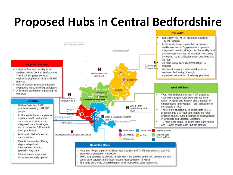## **Proposed Hubs in Central Bedfordshire**

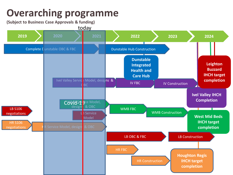## **Overarching programme**

**(Subject to Business Case Approvals & funding)**

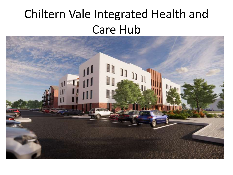# Chiltern Vale Integrated Health and Care Hub

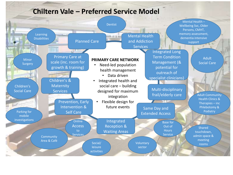#### **Chiltern Vale – Preferred Service Model**

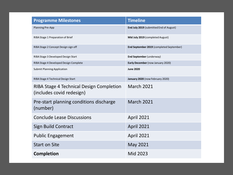| <b>Programme Milestones</b>                                           | <b>Timeline</b>                          |
|-----------------------------------------------------------------------|------------------------------------------|
| <b>Planning Pre-App</b>                                               | End July 2019 (submitted End of August)  |
| RIBA Stage 1 Preparation of Brief                                     | Mid July 2019 (completed August)         |
| RIBA Stage 2 Concept Design sign off                                  | End September 2019 (completed September) |
| RIBA Stage 3 Developed Design Start                                   | End September (underway)                 |
| RIBA Stage 4 Developed Design Complete                                | Early December (now January 2020)        |
| <b>Submit Planning Application</b>                                    | <b>June 2020</b>                         |
| RIBA Stage 4 Technical Design Start                                   | January 2020 (now February 2020)         |
| RIBA Stage 4 Technical Design Completion<br>(includes covid redesign) | March 2021                               |
| Pre-start planning conditions discharge<br>(number)                   | <b>March 2021</b>                        |
| <b>Conclude Lease Discussions</b>                                     | <b>April 2021</b>                        |
| <b>Sign Build Contract</b>                                            | <b>April 2021</b>                        |
| <b>Public Engagement</b>                                              | <b>April 2021</b>                        |
| <b>Start on Site</b>                                                  | May 2021                                 |
| <b>Completion</b>                                                     | Mid 2023                                 |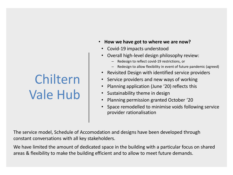- **How we have got to where we are now?**
- Covid-19 impacts understood
- Overall high-level design philosophy review:
	- Redesign to reflect covid-19 restrictions, or
	- Redesign to allow flexibility in event of future pandemic (agreed)
- Revisited Design with identified service providers
- Service providers and new ways of working
- Planning application (June '20) reflects this
- Sustainability theme in design
- Planning permission granted October '20
- Space remodelled to minimise voids following service provider rationalisation

The service model, Schedule of Accomodation and designs have been developed through constant conversations with all key stakeholders.

We have limited the amount of dedicated space in the building with a particular focus on shared areas & flexibility to make the building efficient and to allow to meet future demands.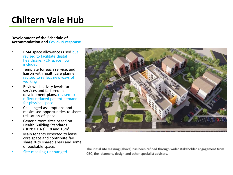#### **Development of the Schedule of Accommodation and Covid-19 response**

- BMA space allowances used but revised to facilitate digital healthcare, PCN space now included
- Template for each service, and liaison with healthcare planner, revised to reflect new ways of working
- Reviewed activity levels for services and factored in development plans, revised to reflect reduced patient demand for physical space
- Challenged assumptions and maximised opportunities to share utilisation of space
- Generic room sizes based on Health Building Standards  $(HBNs/HTNs)$  – 8 and 16m<sup>2</sup>
- Main tenants expected to lease core space and contribute fair share % to shared areas and some of bookable space**.**
- Site massing unchanged.



The initial site massing (above) has been refined through wider stakeholder engagement from CBC, the planners, design and other specialist advisors.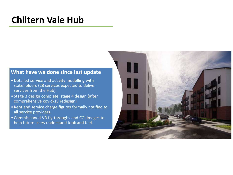#### **What have we done since last update**

- Detailed service and activity modelling with stakeholders (28 services expected to deliver services from the Hub).
- Stage 3 design complete, stage 4 design (after comprehensive covid-19 redesign)
- Rent and service charge figures formally notified to all service providers.
- Commissioned VR fly-throughs and CGI images to help future users understand look and feel.

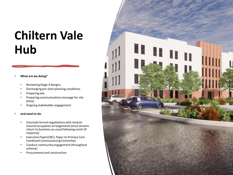#### • **What are we doing?**

- Reviewing Stage 4 designs.
- Discharging pre-start planning conditions
- Preparing site.
- Preparing communications message for site phase.
- Ongoing stakeholder engagement.

#### • **and need to do:**

- Conclude formal negotiations with tenants around occupation arrangements (once tenants return to business-as-usual following covid-19 response)
- Executive Paper(CBC), Paper to Primary Care Combined Commissioning Committee
- Conduct community engagement (throughout scheme)
- Procurement and construction

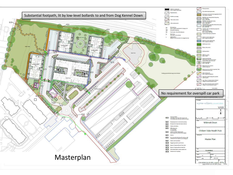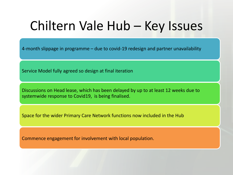# Chiltern Vale Hub – Key Issues

4-month slippage in programme – due to covid-19 redesign and partner unavailability

Service Model fully agreed so design at final iteration

Discussions on Head lease, which has been delayed by up to at least 12 weeks due to systemwide response to Covid19, is being finalised.

Space for the wider Primary Care Network functions now included in the Hub

Commence engagement for involvement with local population.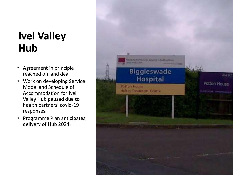## **Ivel Valley Hub**

- Agreement in principle reached on land deal
- Work on developing Service Model and Schedule of Accommodation for Ivel Valley Hub paused due to health partners' covid-19 responses.
- Programme Plan anticipates delivery of Hub 2024.

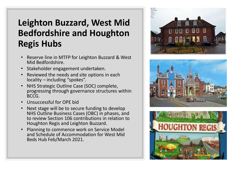### **Leighton Buzzard, West Mid Bedfordshire and Houghton Regis Hubs**

- Reserve line in MTFP for Leighton Buzzard & West Mid Bedfordshire.
- Stakeholder engagement undertaken.
- Reviewed the needs and site options in each locality – including "spokes".
- NHS Strategic Outline Case (SOC) complete, progressing through governance structures within BCCG.
- Unsuccessful for OPE bid
- Next stage will be to secure funding to develop NHS Outline Business Cases (OBC) in phases, and to review Section 106 contributions in relation to Houghton Regis and Leighton Buzzard.
- Planning to commence work on Service Model and Schedule of Accommodation for West Mid Beds Hub Feb/March 2021.





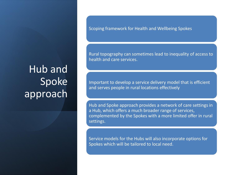Scoping framework for Health and Wellbeing Spokes

Rural topography can sometimes lead to inequality of access to health and care services.

Important to develop a service delivery model that is efficient and serves people in rural locations effectively

Hub and Spoke approach provides a network of care settings in a Hub, which offers a much broader range of services, complemented by the Spokes with a more limited offer in rural settings.

Service models for the Hubs will also incorporate options for Spokes which will be tailored to local need.

## Hub and Spoke approach